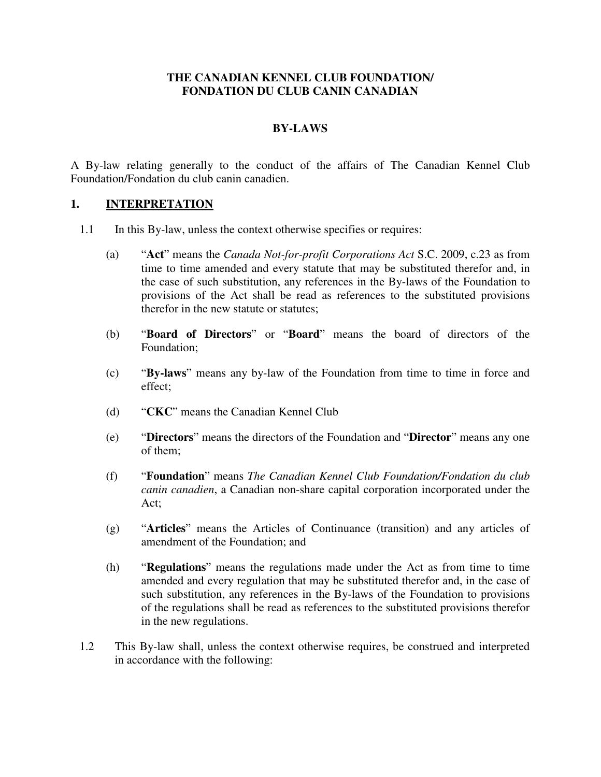#### **THE CANADIAN KENNEL CLUB FOUNDATION/ FONDATION DU CLUB CANIN CANADIAN**

#### **BY-LAWS**

A By-law relating generally to the conduct of the affairs of The Canadian Kennel Club Foundation/Fondation du club canin canadien.

#### **1. INTERPRETATION**

- 1.1 In this By-law, unless the context otherwise specifies or requires:
	- (a) "**Act**" means the *Canada Not-for-profit Corporations Act* S.C. 2009, c.23 as from time to time amended and every statute that may be substituted therefor and, in the case of such substitution, any references in the By-laws of the Foundation to provisions of the Act shall be read as references to the substituted provisions therefor in the new statute or statutes;
	- (b) "**Board of Directors**" or "**Board**" means the board of directors of the Foundation;
	- (c) "**By-laws**" means any by-law of the Foundation from time to time in force and effect;
	- (d) "**CKC**" means the Canadian Kennel Club
	- (e) "**Directors**" means the directors of the Foundation and "**Director**" means any one of them;
	- (f) "**Foundation**" means *The Canadian Kennel Club Foundation/Fondation du club canin canadien*, a Canadian non-share capital corporation incorporated under the Act;
	- (g) "**Articles**" means the Articles of Continuance (transition) and any articles of amendment of the Foundation; and
	- (h) "**Regulations**" means the regulations made under the Act as from time to time amended and every regulation that may be substituted therefor and, in the case of such substitution, any references in the By-laws of the Foundation to provisions of the regulations shall be read as references to the substituted provisions therefor in the new regulations.
- 1.2 This By-law shall, unless the context otherwise requires, be construed and interpreted in accordance with the following: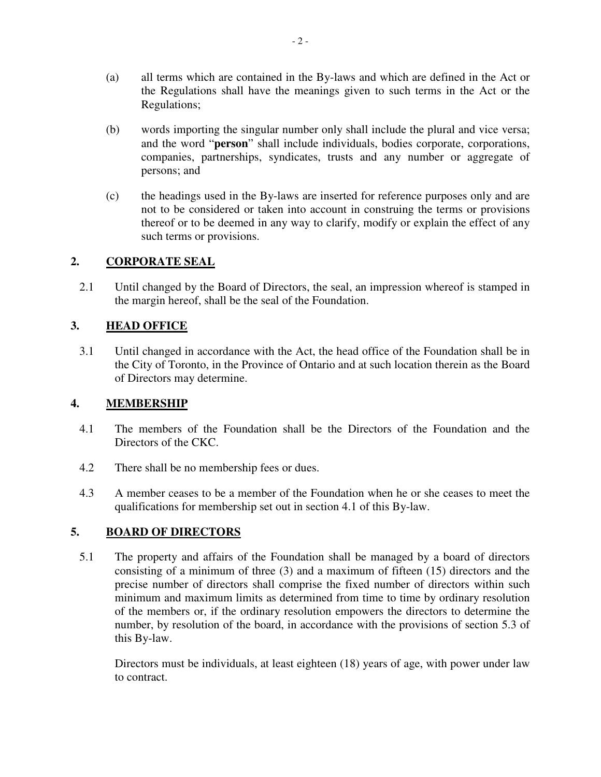- (a) all terms which are contained in the By-laws and which are defined in the Act or the Regulations shall have the meanings given to such terms in the Act or the Regulations;
- (b) words importing the singular number only shall include the plural and vice versa; and the word "**person**" shall include individuals, bodies corporate, corporations, companies, partnerships, syndicates, trusts and any number or aggregate of persons; and
- (c) the headings used in the By-laws are inserted for reference purposes only and are not to be considered or taken into account in construing the terms or provisions thereof or to be deemed in any way to clarify, modify or explain the effect of any such terms or provisions.

## **2. CORPORATE SEAL**

2.1 Until changed by the Board of Directors, the seal, an impression whereof is stamped in the margin hereof, shall be the seal of the Foundation.

## **3. HEAD OFFICE**

3.1 Until changed in accordance with the Act, the head office of the Foundation shall be in the City of Toronto, in the Province of Ontario and at such location therein as the Board of Directors may determine.

## **4. MEMBERSHIP**

- 4.1 The members of the Foundation shall be the Directors of the Foundation and the Directors of the CKC.
- 4.2 There shall be no membership fees or dues.
- 4.3 A member ceases to be a member of the Foundation when he or she ceases to meet the qualifications for membership set out in section 4.1 of this By-law.

# **5. BOARD OF DIRECTORS**

5.1 The property and affairs of the Foundation shall be managed by a board of directors consisting of a minimum of three (3) and a maximum of fifteen (15) directors and the precise number of directors shall comprise the fixed number of directors within such minimum and maximum limits as determined from time to time by ordinary resolution of the members or, if the ordinary resolution empowers the directors to determine the number, by resolution of the board, in accordance with the provisions of section 5.3 of this By-law.

Directors must be individuals, at least eighteen (18) years of age, with power under law to contract.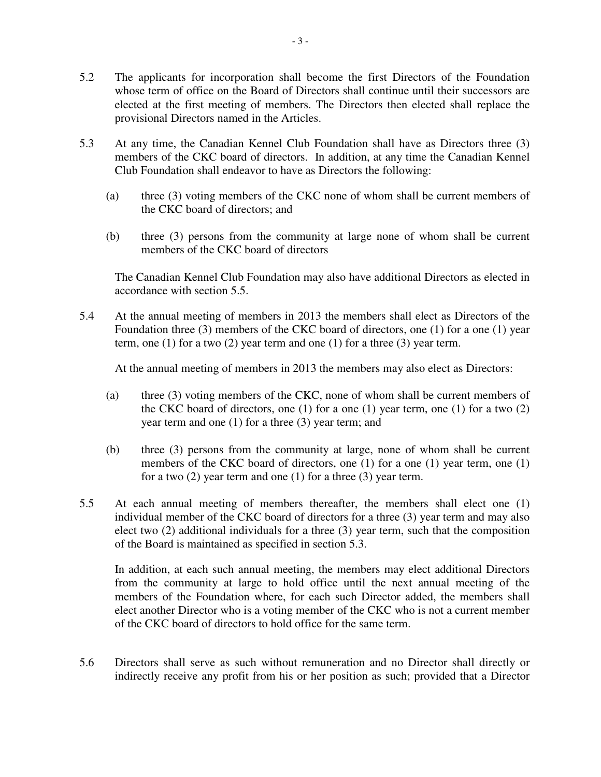- 5.2 The applicants for incorporation shall become the first Directors of the Foundation whose term of office on the Board of Directors shall continue until their successors are elected at the first meeting of members. The Directors then elected shall replace the provisional Directors named in the Articles.
- 5.3 At any time, the Canadian Kennel Club Foundation shall have as Directors three (3) members of the CKC board of directors. In addition, at any time the Canadian Kennel Club Foundation shall endeavor to have as Directors the following:
	- (a) three (3) voting members of the CKC none of whom shall be current members of the CKC board of directors; and
	- (b) three (3) persons from the community at large none of whom shall be current members of the CKC board of directors

The Canadian Kennel Club Foundation may also have additional Directors as elected in accordance with section 5.5.

5.4 At the annual meeting of members in 2013 the members shall elect as Directors of the Foundation three (3) members of the CKC board of directors, one (1) for a one (1) year term, one (1) for a two (2) year term and one (1) for a three (3) year term.

At the annual meeting of members in 2013 the members may also elect as Directors:

- (a) three (3) voting members of the CKC, none of whom shall be current members of the CKC board of directors, one  $(1)$  for a one  $(1)$  year term, one  $(1)$  for a two  $(2)$ year term and one (1) for a three (3) year term; and
- (b) three (3) persons from the community at large, none of whom shall be current members of the CKC board of directors, one (1) for a one (1) year term, one (1) for a two (2) year term and one (1) for a three (3) year term.
- 5.5 At each annual meeting of members thereafter, the members shall elect one (1) individual member of the CKC board of directors for a three (3) year term and may also elect two (2) additional individuals for a three (3) year term, such that the composition of the Board is maintained as specified in section 5.3.

In addition, at each such annual meeting, the members may elect additional Directors from the community at large to hold office until the next annual meeting of the members of the Foundation where, for each such Director added, the members shall elect another Director who is a voting member of the CKC who is not a current member of the CKC board of directors to hold office for the same term.

5.6 Directors shall serve as such without remuneration and no Director shall directly or indirectly receive any profit from his or her position as such; provided that a Director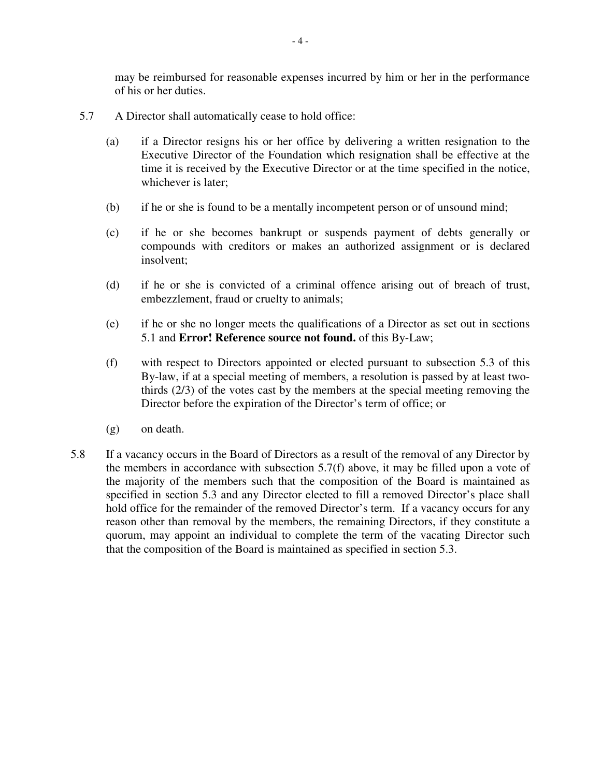may be reimbursed for reasonable expenses incurred by him or her in the performance of his or her duties.

- 5.7 A Director shall automatically cease to hold office:
	- (a) if a Director resigns his or her office by delivering a written resignation to the Executive Director of the Foundation which resignation shall be effective at the time it is received by the Executive Director or at the time specified in the notice, whichever is later;
	- (b) if he or she is found to be a mentally incompetent person or of unsound mind;
	- (c) if he or she becomes bankrupt or suspends payment of debts generally or compounds with creditors or makes an authorized assignment or is declared insolvent;
	- (d) if he or she is convicted of a criminal offence arising out of breach of trust, embezzlement, fraud or cruelty to animals;
	- (e) if he or she no longer meets the qualifications of a Director as set out in sections 5.1 and **Error! Reference source not found.** of this By-Law;
	- (f) with respect to Directors appointed or elected pursuant to subsection 5.3 of this By-law, if at a special meeting of members, a resolution is passed by at least twothirds (2/3) of the votes cast by the members at the special meeting removing the Director before the expiration of the Director's term of office; or
	- (g) on death.
- 5.8 If a vacancy occurs in the Board of Directors as a result of the removal of any Director by the members in accordance with subsection 5.7(f) above, it may be filled upon a vote of the majority of the members such that the composition of the Board is maintained as specified in section 5.3 and any Director elected to fill a removed Director's place shall hold office for the remainder of the removed Director's term. If a vacancy occurs for any reason other than removal by the members, the remaining Directors, if they constitute a quorum, may appoint an individual to complete the term of the vacating Director such that the composition of the Board is maintained as specified in section 5.3.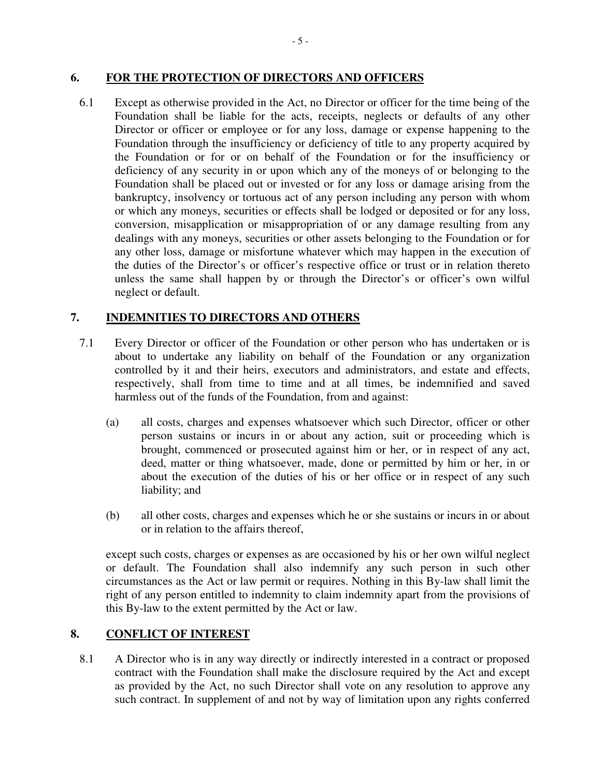#### **6. FOR THE PROTECTION OF DIRECTORS AND OFFICERS**

6.1 Except as otherwise provided in the Act, no Director or officer for the time being of the Foundation shall be liable for the acts, receipts, neglects or defaults of any other Director or officer or employee or for any loss, damage or expense happening to the Foundation through the insufficiency or deficiency of title to any property acquired by the Foundation or for or on behalf of the Foundation or for the insufficiency or deficiency of any security in or upon which any of the moneys of or belonging to the Foundation shall be placed out or invested or for any loss or damage arising from the bankruptcy, insolvency or tortuous act of any person including any person with whom or which any moneys, securities or effects shall be lodged or deposited or for any loss, conversion, misapplication or misappropriation of or any damage resulting from any dealings with any moneys, securities or other assets belonging to the Foundation or for any other loss, damage or misfortune whatever which may happen in the execution of the duties of the Director's or officer's respective office or trust or in relation thereto unless the same shall happen by or through the Director's or officer's own wilful neglect or default.

## **7. INDEMNITIES TO DIRECTORS AND OTHERS**

- 7.1 Every Director or officer of the Foundation or other person who has undertaken or is about to undertake any liability on behalf of the Foundation or any organization controlled by it and their heirs, executors and administrators, and estate and effects, respectively, shall from time to time and at all times, be indemnified and saved harmless out of the funds of the Foundation, from and against:
	- (a) all costs, charges and expenses whatsoever which such Director, officer or other person sustains or incurs in or about any action, suit or proceeding which is brought, commenced or prosecuted against him or her, or in respect of any act, deed, matter or thing whatsoever, made, done or permitted by him or her, in or about the execution of the duties of his or her office or in respect of any such liability; and
	- (b) all other costs, charges and expenses which he or she sustains or incurs in or about or in relation to the affairs thereof,

except such costs, charges or expenses as are occasioned by his or her own wilful neglect or default. The Foundation shall also indemnify any such person in such other circumstances as the Act or law permit or requires. Nothing in this By-law shall limit the right of any person entitled to indemnity to claim indemnity apart from the provisions of this By-law to the extent permitted by the Act or law.

## **8. CONFLICT OF INTEREST**

8.1 A Director who is in any way directly or indirectly interested in a contract or proposed contract with the Foundation shall make the disclosure required by the Act and except as provided by the Act, no such Director shall vote on any resolution to approve any such contract. In supplement of and not by way of limitation upon any rights conferred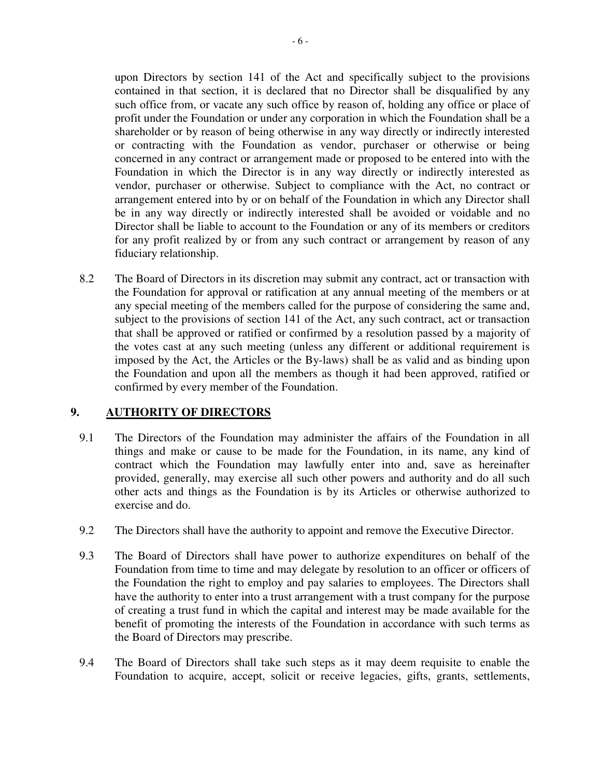upon Directors by section 141 of the Act and specifically subject to the provisions contained in that section, it is declared that no Director shall be disqualified by any such office from, or vacate any such office by reason of, holding any office or place of profit under the Foundation or under any corporation in which the Foundation shall be a shareholder or by reason of being otherwise in any way directly or indirectly interested or contracting with the Foundation as vendor, purchaser or otherwise or being concerned in any contract or arrangement made or proposed to be entered into with the Foundation in which the Director is in any way directly or indirectly interested as vendor, purchaser or otherwise. Subject to compliance with the Act, no contract or arrangement entered into by or on behalf of the Foundation in which any Director shall be in any way directly or indirectly interested shall be avoided or voidable and no Director shall be liable to account to the Foundation or any of its members or creditors for any profit realized by or from any such contract or arrangement by reason of any fiduciary relationship.

8.2 The Board of Directors in its discretion may submit any contract, act or transaction with the Foundation for approval or ratification at any annual meeting of the members or at any special meeting of the members called for the purpose of considering the same and, subject to the provisions of section 141 of the Act, any such contract, act or transaction that shall be approved or ratified or confirmed by a resolution passed by a majority of the votes cast at any such meeting (unless any different or additional requirement is imposed by the Act, the Articles or the By-laws) shall be as valid and as binding upon the Foundation and upon all the members as though it had been approved, ratified or confirmed by every member of the Foundation.

## **9. AUTHORITY OF DIRECTORS**

- 9.1 The Directors of the Foundation may administer the affairs of the Foundation in all things and make or cause to be made for the Foundation, in its name, any kind of contract which the Foundation may lawfully enter into and, save as hereinafter provided, generally, may exercise all such other powers and authority and do all such other acts and things as the Foundation is by its Articles or otherwise authorized to exercise and do.
- 9.2 The Directors shall have the authority to appoint and remove the Executive Director.
- 9.3 The Board of Directors shall have power to authorize expenditures on behalf of the Foundation from time to time and may delegate by resolution to an officer or officers of the Foundation the right to employ and pay salaries to employees. The Directors shall have the authority to enter into a trust arrangement with a trust company for the purpose of creating a trust fund in which the capital and interest may be made available for the benefit of promoting the interests of the Foundation in accordance with such terms as the Board of Directors may prescribe.
- 9.4 The Board of Directors shall take such steps as it may deem requisite to enable the Foundation to acquire, accept, solicit or receive legacies, gifts, grants, settlements,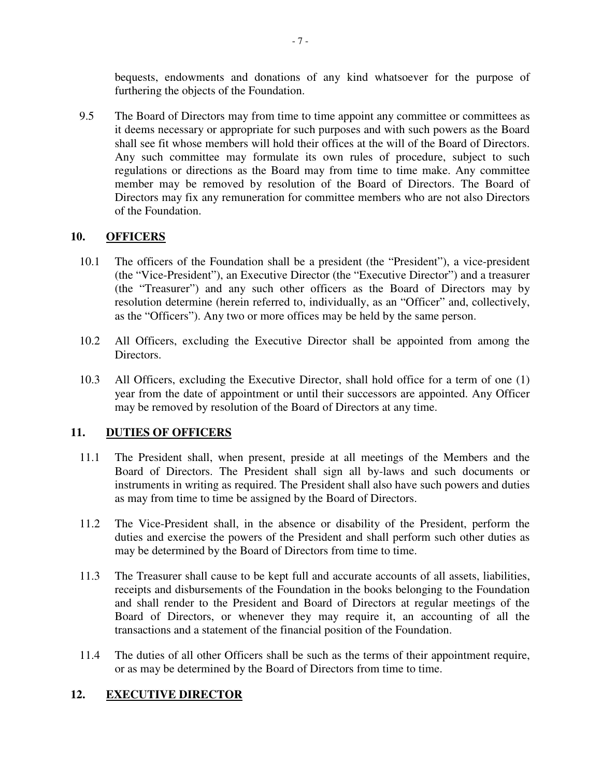bequests, endowments and donations of any kind whatsoever for the purpose of furthering the objects of the Foundation.

9.5 The Board of Directors may from time to time appoint any committee or committees as it deems necessary or appropriate for such purposes and with such powers as the Board shall see fit whose members will hold their offices at the will of the Board of Directors. Any such committee may formulate its own rules of procedure, subject to such regulations or directions as the Board may from time to time make. Any committee member may be removed by resolution of the Board of Directors. The Board of Directors may fix any remuneration for committee members who are not also Directors of the Foundation.

#### **10. OFFICERS**

- 10.1 The officers of the Foundation shall be a president (the "President"), a vice-president (the "Vice-President"), an Executive Director (the "Executive Director") and a treasurer (the "Treasurer") and any such other officers as the Board of Directors may by resolution determine (herein referred to, individually, as an "Officer" and, collectively, as the "Officers"). Any two or more offices may be held by the same person.
- 10.2 All Officers, excluding the Executive Director shall be appointed from among the Directors.
- 10.3 All Officers, excluding the Executive Director, shall hold office for a term of one (1) year from the date of appointment or until their successors are appointed. Any Officer may be removed by resolution of the Board of Directors at any time.

## **11. DUTIES OF OFFICERS**

- 11.1 The President shall, when present, preside at all meetings of the Members and the Board of Directors. The President shall sign all by-laws and such documents or instruments in writing as required. The President shall also have such powers and duties as may from time to time be assigned by the Board of Directors.
- 11.2 The Vice-President shall, in the absence or disability of the President, perform the duties and exercise the powers of the President and shall perform such other duties as may be determined by the Board of Directors from time to time.
- 11.3 The Treasurer shall cause to be kept full and accurate accounts of all assets, liabilities, receipts and disbursements of the Foundation in the books belonging to the Foundation and shall render to the President and Board of Directors at regular meetings of the Board of Directors, or whenever they may require it, an accounting of all the transactions and a statement of the financial position of the Foundation.
- 11.4 The duties of all other Officers shall be such as the terms of their appointment require, or as may be determined by the Board of Directors from time to time.

## **12. EXECUTIVE DIRECTOR**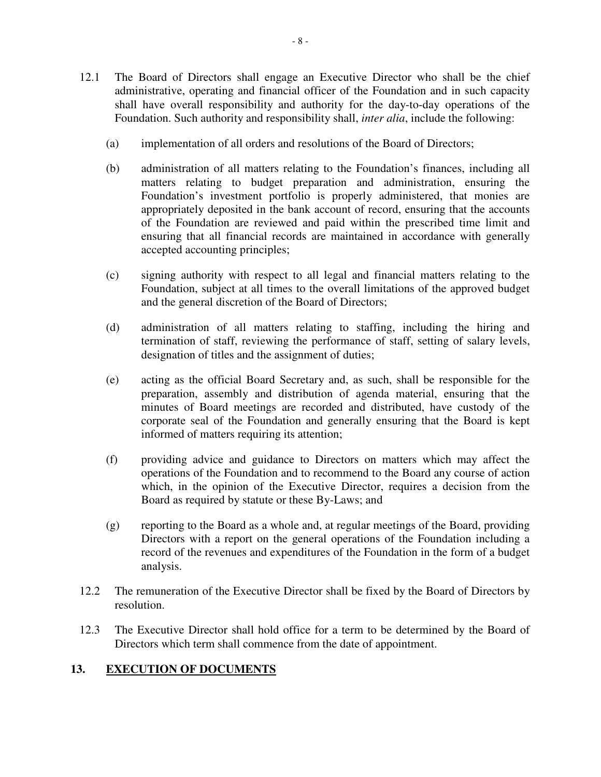- 12.1 The Board of Directors shall engage an Executive Director who shall be the chief administrative, operating and financial officer of the Foundation and in such capacity shall have overall responsibility and authority for the day-to-day operations of the Foundation. Such authority and responsibility shall, *inter alia*, include the following:
	- (a) implementation of all orders and resolutions of the Board of Directors;
	- (b) administration of all matters relating to the Foundation's finances, including all matters relating to budget preparation and administration, ensuring the Foundation's investment portfolio is properly administered, that monies are appropriately deposited in the bank account of record, ensuring that the accounts of the Foundation are reviewed and paid within the prescribed time limit and ensuring that all financial records are maintained in accordance with generally accepted accounting principles;
	- (c) signing authority with respect to all legal and financial matters relating to the Foundation, subject at all times to the overall limitations of the approved budget and the general discretion of the Board of Directors;
	- (d) administration of all matters relating to staffing, including the hiring and termination of staff, reviewing the performance of staff, setting of salary levels, designation of titles and the assignment of duties;
	- (e) acting as the official Board Secretary and, as such, shall be responsible for the preparation, assembly and distribution of agenda material, ensuring that the minutes of Board meetings are recorded and distributed, have custody of the corporate seal of the Foundation and generally ensuring that the Board is kept informed of matters requiring its attention;
	- (f) providing advice and guidance to Directors on matters which may affect the operations of the Foundation and to recommend to the Board any course of action which, in the opinion of the Executive Director, requires a decision from the Board as required by statute or these By-Laws; and
	- (g) reporting to the Board as a whole and, at regular meetings of the Board, providing Directors with a report on the general operations of the Foundation including a record of the revenues and expenditures of the Foundation in the form of a budget analysis.
- 12.2 The remuneration of the Executive Director shall be fixed by the Board of Directors by resolution.
- 12.3 The Executive Director shall hold office for a term to be determined by the Board of Directors which term shall commence from the date of appointment.

## **13. EXECUTION OF DOCUMENTS**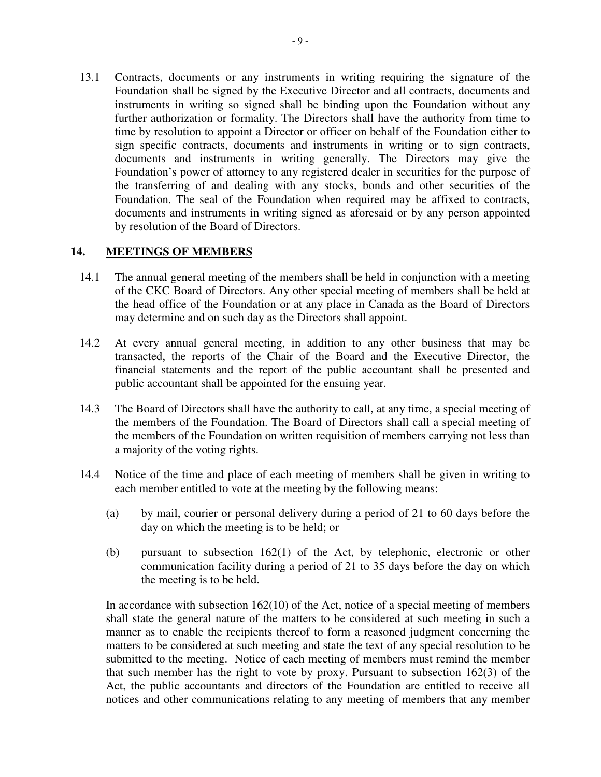13.1 Contracts, documents or any instruments in writing requiring the signature of the Foundation shall be signed by the Executive Director and all contracts, documents and instruments in writing so signed shall be binding upon the Foundation without any further authorization or formality. The Directors shall have the authority from time to time by resolution to appoint a Director or officer on behalf of the Foundation either to sign specific contracts, documents and instruments in writing or to sign contracts, documents and instruments in writing generally. The Directors may give the Foundation's power of attorney to any registered dealer in securities for the purpose of the transferring of and dealing with any stocks, bonds and other securities of the Foundation. The seal of the Foundation when required may be affixed to contracts, documents and instruments in writing signed as aforesaid or by any person appointed by resolution of the Board of Directors.

#### **14. MEETINGS OF MEMBERS**

- 14.1 The annual general meeting of the members shall be held in conjunction with a meeting of the CKC Board of Directors. Any other special meeting of members shall be held at the head office of the Foundation or at any place in Canada as the Board of Directors may determine and on such day as the Directors shall appoint.
- 14.2 At every annual general meeting, in addition to any other business that may be transacted, the reports of the Chair of the Board and the Executive Director, the financial statements and the report of the public accountant shall be presented and public accountant shall be appointed for the ensuing year.
- 14.3 The Board of Directors shall have the authority to call, at any time, a special meeting of the members of the Foundation. The Board of Directors shall call a special meeting of the members of the Foundation on written requisition of members carrying not less than a majority of the voting rights.
- 14.4 Notice of the time and place of each meeting of members shall be given in writing to each member entitled to vote at the meeting by the following means:
	- (a) by mail, courier or personal delivery during a period of 21 to 60 days before the day on which the meeting is to be held; or
	- (b) pursuant to subsection 162(1) of the Act, by telephonic, electronic or other communication facility during a period of 21 to 35 days before the day on which the meeting is to be held.

In accordance with subsection  $162(10)$  of the Act, notice of a special meeting of members shall state the general nature of the matters to be considered at such meeting in such a manner as to enable the recipients thereof to form a reasoned judgment concerning the matters to be considered at such meeting and state the text of any special resolution to be submitted to the meeting. Notice of each meeting of members must remind the member that such member has the right to vote by proxy. Pursuant to subsection 162(3) of the Act, the public accountants and directors of the Foundation are entitled to receive all notices and other communications relating to any meeting of members that any member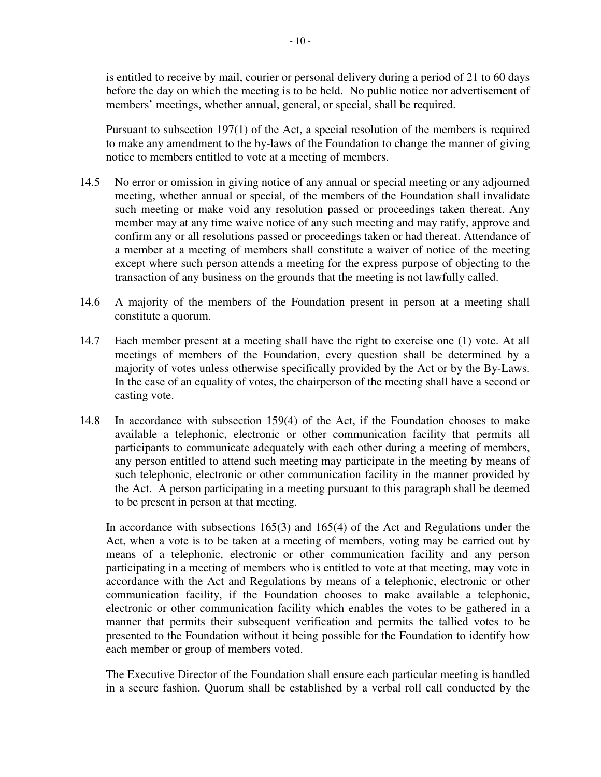is entitled to receive by mail, courier or personal delivery during a period of 21 to 60 days before the day on which the meeting is to be held. No public notice nor advertisement of members' meetings, whether annual, general, or special, shall be required.

Pursuant to subsection 197(1) of the Act, a special resolution of the members is required to make any amendment to the by-laws of the Foundation to change the manner of giving notice to members entitled to vote at a meeting of members.

- 14.5 No error or omission in giving notice of any annual or special meeting or any adjourned meeting, whether annual or special, of the members of the Foundation shall invalidate such meeting or make void any resolution passed or proceedings taken thereat. Any member may at any time waive notice of any such meeting and may ratify, approve and confirm any or all resolutions passed or proceedings taken or had thereat. Attendance of a member at a meeting of members shall constitute a waiver of notice of the meeting except where such person attends a meeting for the express purpose of objecting to the transaction of any business on the grounds that the meeting is not lawfully called.
- 14.6 A majority of the members of the Foundation present in person at a meeting shall constitute a quorum.
- 14.7 Each member present at a meeting shall have the right to exercise one (1) vote. At all meetings of members of the Foundation, every question shall be determined by a majority of votes unless otherwise specifically provided by the Act or by the By-Laws. In the case of an equality of votes, the chairperson of the meeting shall have a second or casting vote.
- 14.8 In accordance with subsection 159(4) of the Act, if the Foundation chooses to make available a telephonic, electronic or other communication facility that permits all participants to communicate adequately with each other during a meeting of members, any person entitled to attend such meeting may participate in the meeting by means of such telephonic, electronic or other communication facility in the manner provided by the Act. A person participating in a meeting pursuant to this paragraph shall be deemed to be present in person at that meeting.

In accordance with subsections 165(3) and 165(4) of the Act and Regulations under the Act, when a vote is to be taken at a meeting of members, voting may be carried out by means of a telephonic, electronic or other communication facility and any person participating in a meeting of members who is entitled to vote at that meeting, may vote in accordance with the Act and Regulations by means of a telephonic, electronic or other communication facility, if the Foundation chooses to make available a telephonic, electronic or other communication facility which enables the votes to be gathered in a manner that permits their subsequent verification and permits the tallied votes to be presented to the Foundation without it being possible for the Foundation to identify how each member or group of members voted.

The Executive Director of the Foundation shall ensure each particular meeting is handled in a secure fashion. Quorum shall be established by a verbal roll call conducted by the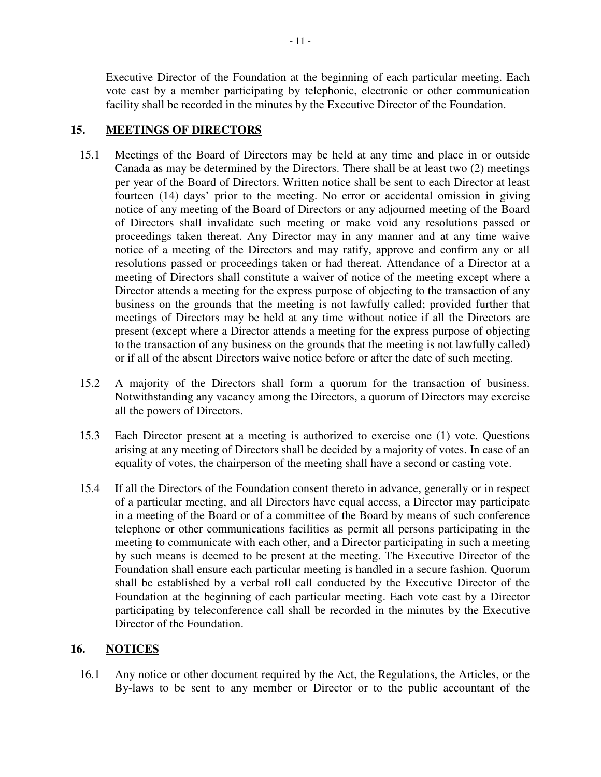Executive Director of the Foundation at the beginning of each particular meeting. Each vote cast by a member participating by telephonic, electronic or other communication facility shall be recorded in the minutes by the Executive Director of the Foundation.

## **15. MEETINGS OF DIRECTORS**

- 15.1 Meetings of the Board of Directors may be held at any time and place in or outside Canada as may be determined by the Directors. There shall be at least two (2) meetings per year of the Board of Directors. Written notice shall be sent to each Director at least fourteen (14) days' prior to the meeting. No error or accidental omission in giving notice of any meeting of the Board of Directors or any adjourned meeting of the Board of Directors shall invalidate such meeting or make void any resolutions passed or proceedings taken thereat. Any Director may in any manner and at any time waive notice of a meeting of the Directors and may ratify, approve and confirm any or all resolutions passed or proceedings taken or had thereat. Attendance of a Director at a meeting of Directors shall constitute a waiver of notice of the meeting except where a Director attends a meeting for the express purpose of objecting to the transaction of any business on the grounds that the meeting is not lawfully called; provided further that meetings of Directors may be held at any time without notice if all the Directors are present (except where a Director attends a meeting for the express purpose of objecting to the transaction of any business on the grounds that the meeting is not lawfully called) or if all of the absent Directors waive notice before or after the date of such meeting.
- 15.2 A majority of the Directors shall form a quorum for the transaction of business. Notwithstanding any vacancy among the Directors, a quorum of Directors may exercise all the powers of Directors.
- 15.3 Each Director present at a meeting is authorized to exercise one (1) vote. Questions arising at any meeting of Directors shall be decided by a majority of votes. In case of an equality of votes, the chairperson of the meeting shall have a second or casting vote.
- 15.4 If all the Directors of the Foundation consent thereto in advance, generally or in respect of a particular meeting, and all Directors have equal access, a Director may participate in a meeting of the Board or of a committee of the Board by means of such conference telephone or other communications facilities as permit all persons participating in the meeting to communicate with each other, and a Director participating in such a meeting by such means is deemed to be present at the meeting. The Executive Director of the Foundation shall ensure each particular meeting is handled in a secure fashion. Quorum shall be established by a verbal roll call conducted by the Executive Director of the Foundation at the beginning of each particular meeting. Each vote cast by a Director participating by teleconference call shall be recorded in the minutes by the Executive Director of the Foundation.

## **16. NOTICES**

16.1 Any notice or other document required by the Act, the Regulations, the Articles, or the By-laws to be sent to any member or Director or to the public accountant of the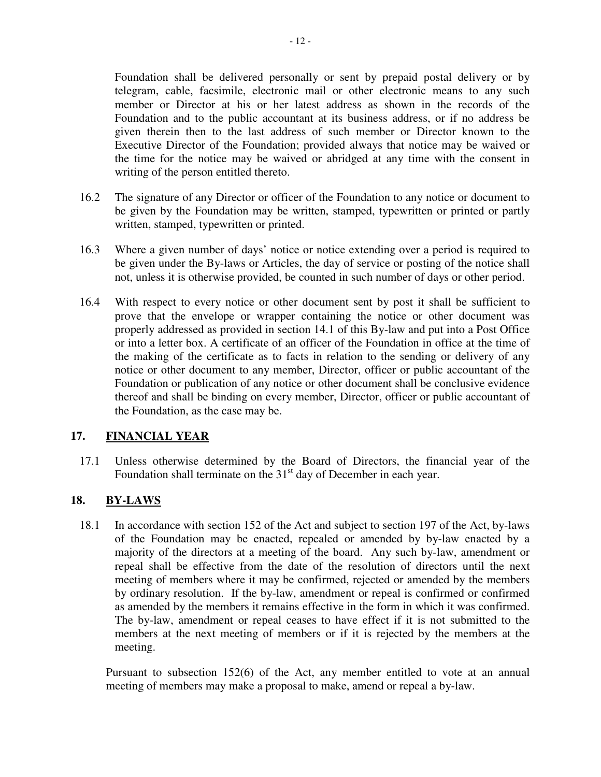Foundation and to the public accountant at its business address, or if no address be given therein then to the last address of such member or Director known to the Executive Director of the Foundation; provided always that notice may be waived or the time for the notice may be waived or abridged at any time with the consent in writing of the person entitled thereto.

- 16.2 The signature of any Director or officer of the Foundation to any notice or document to be given by the Foundation may be written, stamped, typewritten or printed or partly written, stamped, typewritten or printed.
- 16.3 Where a given number of days' notice or notice extending over a period is required to be given under the By-laws or Articles, the day of service or posting of the notice shall not, unless it is otherwise provided, be counted in such number of days or other period.
- 16.4 With respect to every notice or other document sent by post it shall be sufficient to prove that the envelope or wrapper containing the notice or other document was properly addressed as provided in section 14.1 of this By-law and put into a Post Office or into a letter box. A certificate of an officer of the Foundation in office at the time of the making of the certificate as to facts in relation to the sending or delivery of any notice or other document to any member, Director, officer or public accountant of the Foundation or publication of any notice or other document shall be conclusive evidence thereof and shall be binding on every member, Director, officer or public accountant of the Foundation, as the case may be.

## **17. FINANCIAL YEAR**

17.1 Unless otherwise determined by the Board of Directors, the financial year of the Foundation shall terminate on the  $31<sup>st</sup>$  day of December in each year.

# **18. BY-LAWS**

18.1 In accordance with section 152 of the Act and subject to section 197 of the Act, by-laws of the Foundation may be enacted, repealed or amended by by-law enacted by a majority of the directors at a meeting of the board. Any such by-law, amendment or repeal shall be effective from the date of the resolution of directors until the next meeting of members where it may be confirmed, rejected or amended by the members by ordinary resolution. If the by-law, amendment or repeal is confirmed or confirmed as amended by the members it remains effective in the form in which it was confirmed. The by-law, amendment or repeal ceases to have effect if it is not submitted to the members at the next meeting of members or if it is rejected by the members at the meeting.

Pursuant to subsection 152(6) of the Act, any member entitled to vote at an annual meeting of members may make a proposal to make, amend or repeal a by-law.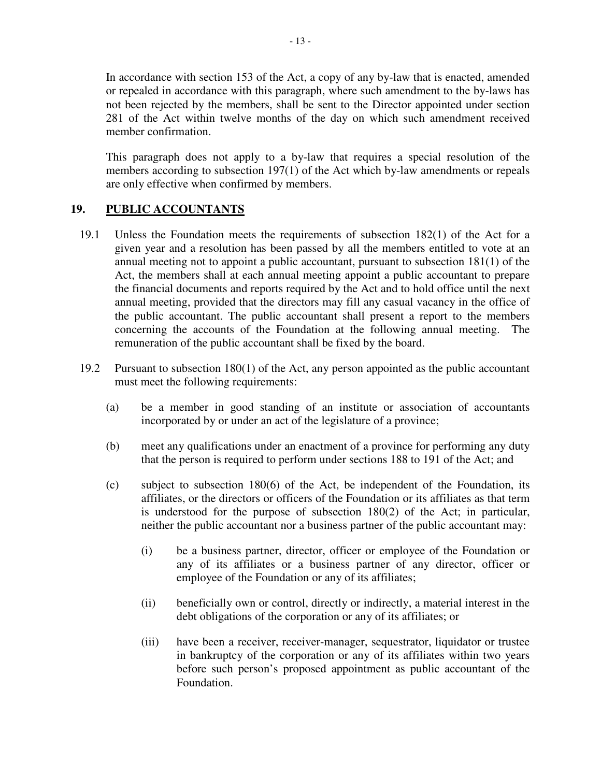In accordance with section 153 of the Act, a copy of any by-law that is enacted, amended or repealed in accordance with this paragraph, where such amendment to the by-laws has not been rejected by the members, shall be sent to the Director appointed under section 281 of the Act within twelve months of the day on which such amendment received member confirmation.

This paragraph does not apply to a by-law that requires a special resolution of the members according to subsection 197(1) of the Act which by-law amendments or repeals are only effective when confirmed by members.

#### **19. PUBLIC ACCOUNTANTS**

- 19.1 Unless the Foundation meets the requirements of subsection 182(1) of the Act for a given year and a resolution has been passed by all the members entitled to vote at an annual meeting not to appoint a public accountant, pursuant to subsection 181(1) of the Act, the members shall at each annual meeting appoint a public accountant to prepare the financial documents and reports required by the Act and to hold office until the next annual meeting, provided that the directors may fill any casual vacancy in the office of the public accountant. The public accountant shall present a report to the members concerning the accounts of the Foundation at the following annual meeting. The remuneration of the public accountant shall be fixed by the board.
- 19.2 Pursuant to subsection 180(1) of the Act, any person appointed as the public accountant must meet the following requirements:
	- (a) be a member in good standing of an institute or association of accountants incorporated by or under an act of the legislature of a province;
	- (b) meet any qualifications under an enactment of a province for performing any duty that the person is required to perform under sections 188 to 191 of the Act; and
	- (c) subject to subsection 180(6) of the Act, be independent of the Foundation, its affiliates, or the directors or officers of the Foundation or its affiliates as that term is understood for the purpose of subsection 180(2) of the Act; in particular, neither the public accountant nor a business partner of the public accountant may:
		- (i) be a business partner, director, officer or employee of the Foundation or any of its affiliates or a business partner of any director, officer or employee of the Foundation or any of its affiliates;
		- (ii) beneficially own or control, directly or indirectly, a material interest in the debt obligations of the corporation or any of its affiliates; or
		- (iii) have been a receiver, receiver-manager, sequestrator, liquidator or trustee in bankruptcy of the corporation or any of its affiliates within two years before such person's proposed appointment as public accountant of the Foundation.